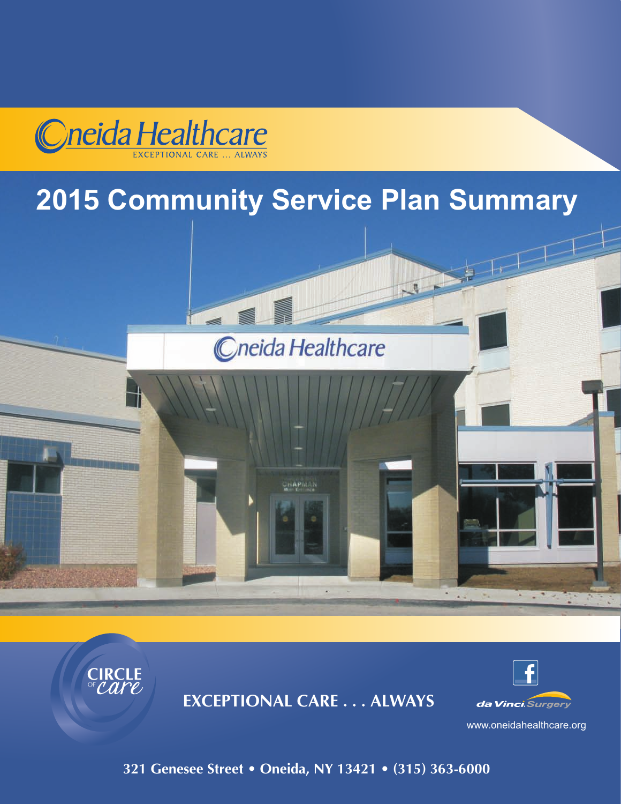

# **2015 Community Service Plan Summary**





**EXCEPTIONAL CARE . . . ALWAYS**



www.oneidahealthcare.org

**321 Genesee Street • Oneida, NY 13421 • (315) 363-6000**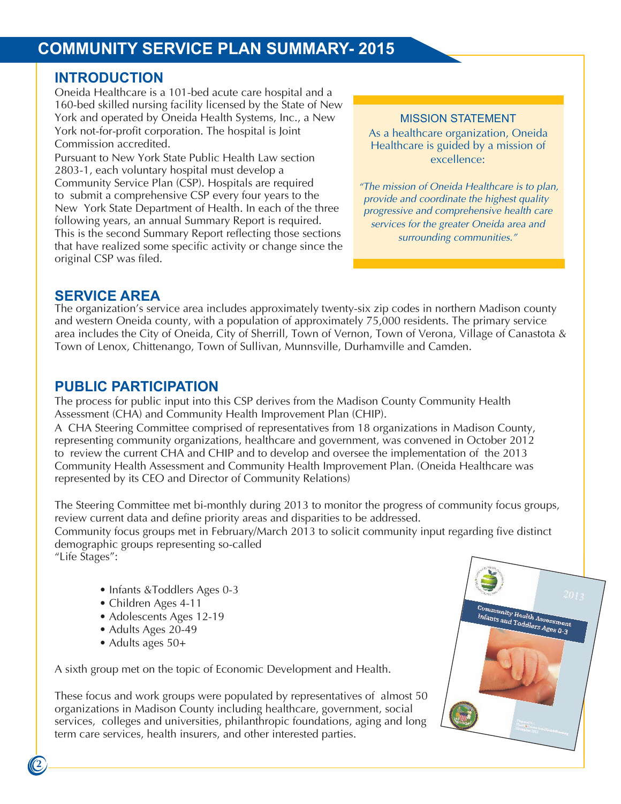## **COMMUNITY SERVICE PLAN SUMMARY- 2014 COMMUNITY SERVICE PLAN SUMMARY- 2015**

#### **INTRODUCTION**

**INTRODUCTION**<br>Oneida Healthcare is a 101-bed acute care hospital and a Oneida Healthcare is a 101-bed acute care hospital and a 160-bed skilled nursing facility licensed by the State of New 160-bed skilled nursing facility licensed by the State of New York and operated by Oneida Health Systems, Inc., a New York and operated by Oneida Health Systems, Inc., a New York not-for-profit corporation. The hospital is Joint York not-for-profit corporation. The hospital is Joint Commission accredited.

Commission accredited. Pursuant to New York State Public Health Law section Pursuant to New York State Public Health Law section 2803-1, each voluntary hospital must develop a 2803-1, each voluntary hospital must develop a Community Service Plan (CSP). Hospitals are required Edminitum, Service Plan (CSP). Hospitals are required to submit a comprehensive CSP every four years to the submit a comprehensive CSP every four years to the New New York State Department of Health. In each of the three following years, an annual Summary Report is required. This is the second Summary Report reflecting those sections that have realized some specific activity or change since the original CSP was filed. The change some specific activity of the single since the single since the single since the single since the single single single single single single single single single single single single singl MISSION STATEMENT MISSION STATEMENT

As a healthcare organization, Oneida As a healthcare organization, Oneida Healthcare is guided by a mission of Healthcare is guided by a mission of excellence: excellence:

*"The mission of Oneida Healthcare is to plan, "The mission of Oneida Healthcare is to plan, provide and coordinate the highest quality provide and coordinate the highest quality progressive and comprehensive health care progressive and comprehensive health care services for the greater Oneida area and services for the greater Oneida area and surrounding communities." surrounding communities."* 

## **SERVICE AREA SERVICE AREA**

The organization's service area includes approximately twenty-six zip codes in northern Madison county Theory in the Theory of Theory in the Theory of Theory in the Theory in the Theory in the Theory in the Theory in the T and western Oneida county, with a population of approximately 75,000 residents. The primary service area includes the City of Oneida, City of Sherrill, Town of Vernon, Town of Verona, Village of Canastota & area includes the City of Oneida, City of Sherrin, Town of Vernon, Town of Verona, Village of Canastota & Town of Lenox, Chittenango, Town of Sullivan, Munnsville, Durhamville and Camden. Town of Lenox, Chittenango, Town of Sullivan, Munnsville, Durhamville and Camden. and western Oneida county, with a population of approximately 75,000 residents. The primary service

#### **PUBLIC PARTICIPATION**

**PUBLIC PARTION ATION**<br>The process for public input into this CSP derives from the Madison County Community Health The process for public input into this CSP derives from the Madison County Community Health<br>Assessment (CHA) and Community Health Improvement Plan (CHIP).

Assessment (CHA) and Community Health Improvement Plan (CHIP).<br>A CHA Steering Committee comprised of representatives from 18 organizations in Madison County, A CHA Steering Committee comprised of representatives from 18 organizations in Madison County, representing community organizations, healthcare and government, was convened in October 2012 representing community organizations, healthcare and government, was convened in October 2012 to to review the current CHA and CHIP and to develop and oversee the implementation of the 2013 Community Health Assessment and Community Health Improvement Plan. (Oneida Healthcare was represented by its CEO and Director of Community Relations) represented by its CEO and Director of Community Relations)

review current data and define priority areas and disparities to be addressed. The Steering Committee met bi-monthly during 2013 to monitor the progress of community focus groups,

Community focus groups met in February/March 2013 to solicit community input regarding five distinct demographic groups representing so-called "Life Stages": The Stages": The Stages of Stages so-called Stages in the Stage so-called Stages in the Stage so-called Stages in the Stage so-called Stages in the Stage so-called Stages in the Stage so-called Stages in the

- Infants &Toddlers Ages 0-3 Infants &Toddlers Ages 0-3
- Children Ages 4-11 Children Ages 4-11
- Adolescents Ages 12-19 Adolescents Ages 12-19
- Adults Ages 20-49 Adults Ages 20-49
- Adults ages 50+ Adults ages 50+

A sixth group met on the topic of Economic Development and Health. A sixth group met on the topic of Economic Development and Health.

These focus and work groups were populated by representatives of almost 50 organizations in Madison County including healthcare, government, social organizations in Madison County including healthcare, government, social services, colleges and universities, philanthropic foundations, aging and long services, colleges and universities, philanthropic foundations, aging and long term care services, health insurers, and other interested parties. term care services, health insurers, and other interested parties. These focus and work groups were populated by representatives of almost 50

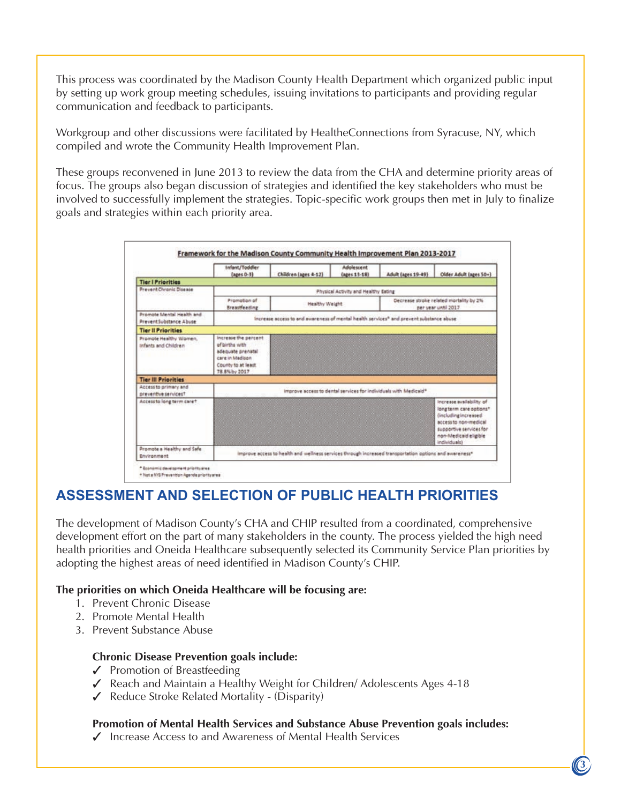This process was coordinated by the Madison County Health Department which organized public input by setting up work group meeting schedules, issuing invitations to participants and providing regular communication and feedback to participants.

Workgroup and other discussions were facilitated by HealtheConnections from Syracuse, NY, which compiled and wrote the Community Health Improvement Plan.

These groups reconvened in June 2013 to review the data from the CHA and determine priority areas of focus. The groups also began discussion of strategies and identified the key stakeholders who must be involved to successfully implement the strategies. Topic-specific work groups then met in July to finalize goals and strategies within each priority area.

|                                                     | Infant/Toddler<br>(ages 0-3)                                                                                          | Children (ages 4-12) | Adolescent<br>(apes 11-18) | Adult (ages 19-49)                                             | Older Adult (ages 50+)                                                                                                                                                  |
|-----------------------------------------------------|-----------------------------------------------------------------------------------------------------------------------|----------------------|----------------------------|----------------------------------------------------------------|-------------------------------------------------------------------------------------------------------------------------------------------------------------------------|
| <b>Tier I Priorities</b>                            |                                                                                                                       |                      |                            |                                                                |                                                                                                                                                                         |
| <b>Prevent Chronic Disease</b>                      | Physical Activity and Healthy Eating                                                                                  |                      |                            |                                                                |                                                                                                                                                                         |
|                                                     | Promotion of<br>Breastfeeding                                                                                         | Healthy Weight       |                            | Decrease stroke related mortality by 2%<br>per year until 2017 |                                                                                                                                                                         |
| Promote Mental Health and<br>PreventSubstance Abuse | increase access to and awareness of mental health services <sup>4</sup> and prevent substance abuse                   |                      |                            |                                                                |                                                                                                                                                                         |
| <b>Tier Il Priorities</b>                           |                                                                                                                       |                      |                            |                                                                |                                                                                                                                                                         |
| Promote Healthy Women,<br>Infants and Children      | increase the percent<br>of births with<br>adequate prenatal<br>care in Madison<br>County to at least<br>78.8% by 2017 |                      |                            |                                                                |                                                                                                                                                                         |
| <b>Tier III Priorities</b>                          |                                                                                                                       |                      |                            |                                                                |                                                                                                                                                                         |
| Access to primary and<br>preventive services?       | improve sccess to dental services for individuals with Medicaid®                                                      |                      |                            |                                                                |                                                                                                                                                                         |
| Access to long term care ?                          |                                                                                                                       |                      |                            |                                                                | Increase availability of<br>longterm care options*<br>(including increased<br>access to non-medical<br>supportive services for<br>non-Medicaid eligible<br>individuals) |
| Promote a Healthy and Safe                          | improve access to health and wellness services through increased transportation options and awareness*                |                      |                            |                                                                |                                                                                                                                                                         |

#### **ASSESSMENT AND SELECTION OF PUBLIC HEALTH PRIORITIES**

The development of Madison County's CHA and CHIP resulted from a coordinated, comprehensive development effort on the part of many stakeholders in the county. The process yielded the high need health priorities and Oneida Healthcare subsequently selected its Community Service Plan priorities by adopting the highest areas of need identified in Madison County's CHIP.

#### **The priorities on which Oneida Healthcare will be focusing are:**

- 1. Prevent Chronic Disease
- 2. Promote Mental Health
- 3. Prevent Substance Abuse

**2 3**

#### **Chronic Disease Prevention goals include:**

- $\checkmark$  Promotion of Breastfeeding
- 3 Reach and Maintain a Healthy Weight for Children/ Adolescents Ages 4-18
- $\checkmark$  Reduce Stroke Related Mortality (Disparity)

#### **Promotion of Mental Health Services and Substance Abuse Prevention goals includes:**

 $\checkmark$  Increase Access to and Awareness of Mental Health Services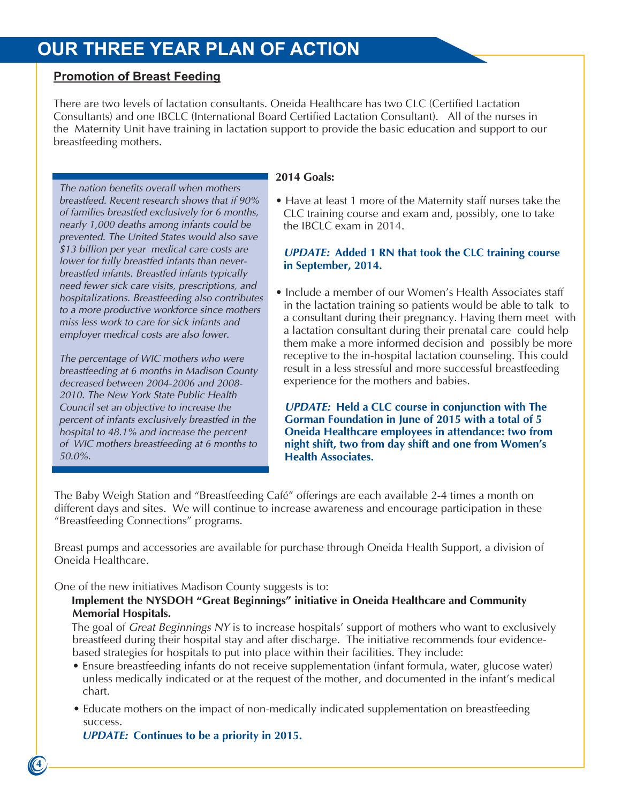### **OUR THREE YEAR PLAN OF ACTION**

#### **Promotion of Breast Feeding**

There are two levels of lactation consultants. Oneida Healthcare has two CLC (Certified Lactation Consultants) and one IBCLC (International Board Certified Lactation Consultant). All of the nurses in the Maternity Unit have training in lactation support to provide the basic education and support to our breastfeeding mothers.

*The nation benefits overall when mothers breastfeed. Recent research shows that if 90% of families breastfed exclusively for 6 months, nearly 1,000 deaths among infants could be prevented. The United States would also save \$13 billion per year medical care costs are lower for fully breastfed infants than neverbreastfed infants. Breastfed infants typically need fewer sick care visits, prescriptions, and hospitalizations. Breastfeeding also contributes to a more productive workforce since mothers miss less work to care for sick infants and employer medical costs are also lower.* 

*The percentage of WIC mothers who were breastfeeding at 6 months in Madison County decreased between 2004-2006 and 2008- 2010. The New York State Public Health Council set an objective to increase the percent of infants exclusively breastfed in the hospital to 48.1% and increase the percent of WIC mothers breastfeeding at 6 months to 50.0%.* 

#### **2014 Goals:**

• Have at least 1 more of the Maternity staff nurses take the CLC training course and exam and, possibly, one to take the IBCLC exam in 2014.

#### *UPDATE:* **Added 1 RN that took the CLC training course in September, 2014.**

• Include a member of our Women's Health Associates staff in the lactation training so patients would be able to talk to a consultant during their pregnancy. Having them meet with a lactation consultant during their prenatal care could help them make a more informed decision and possibly be more receptive to the in-hospital lactation counseling. This could result in a less stressful and more successful breastfeeding experience for the mothers and babies.

*UPDATE:* **Held a CLC course in conjunction with The Gorman Foundation in June of 2015 with a total of 5 Oneida Healthcare employees in attendance: two from night shift, two from day shift and one from Women's Health Associates.**

The Baby Weigh Station and "Breastfeeding Café" offerings are each available 2-4 times a month on different days and sites. We will continue to increase awareness and encourage participation in these "Breastfeeding Connections" programs.

Breast pumps and accessories are available for purchase through Oneida Health Support, a division of Oneida Healthcare.

One of the new initiatives Madison County suggests is to:

#### **Implement the NYSDOH "Great Beginnings" initiative in Oneida Healthcare and Community Memorial Hospitals.**

The goal of *Great Beginnings NY* is to increase hospitals' support of mothers who want to exclusively breastfeed during their hospital stay and after discharge. The initiative recommends four evidencebased strategies for hospitals to put into place within their facilities. They include:

- Ensure breastfeeding infants do not receive supplementation (infant formula, water, glucose water) unless medically indicated or at the request of the mother, and documented in the infant's medical chart.
- Educate mothers on the impact of non-medically indicated supplementation on breastfeeding success.

*UPDATE:* **Continues to be a priority in 2015.** 

**4**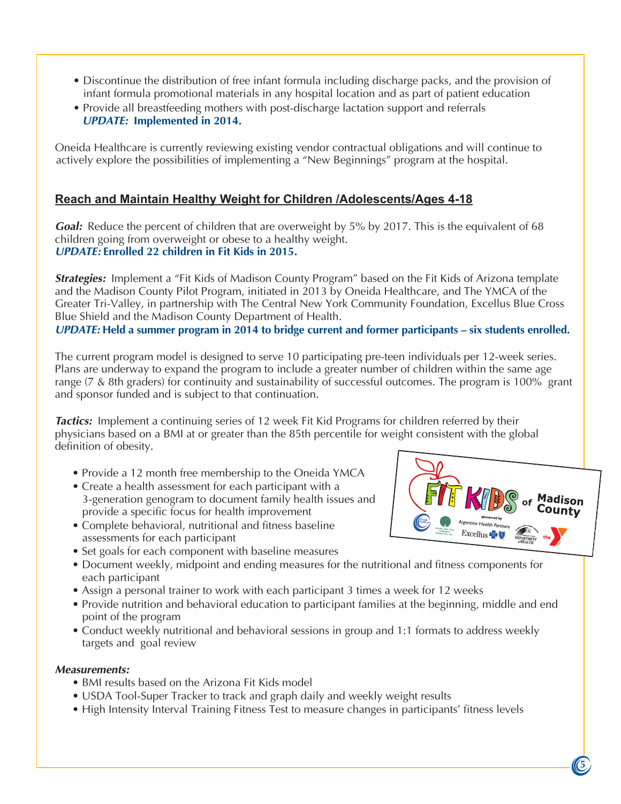- Discontinue the distribution of free infant formula including discharge packs, and the provision of Discontinue the distribution of free infant formula including discharge packs, and the provision of infant formula promotional materials in any hospital location and as part of patient education infant formula promotional materials in any hospital location and as part of patient education
- Provide all breastfeeding mothers with post-discharge lactation support and referrals Provide all breastfeeding mothers with post-discharge lactation support and referrals *UPDATE:* **Implemented in 2014** *UPDATE:* **Implemented in 2014.**

Oneida Healthcare is currently reviewing existing vendor contractual obligations and will continue to Oneida Healthcare is currently reviewing existing vendor contractual obligations and will continue to actively explore the possibilities of implementing a "New Beginnings" program at the hospital. actively explore the possibilities of implementing a "New Beginnings" program at the hospital.

#### **Reach and Maintain Healthy Weight for Children /Adolescents/Ages 4-18 Reach and Maintain Healthy Weight for Children /Adolescents/Ages 4-18**

Goal: Reduce the percent of children that are overweight by 5% by 2017. This is the equivalent of 68 children going from overweight or obese to a healthy weight. children going from overweight or obese to a healthy weight. *UPDATE:* **Enrolled 22 children in Fit Kids in 2015.** 

Strategies: Implement a "Fit Kids of Madison County Program" based on the Fit Kids of Arizona template and the Madison County Pilot Program, initiated in 2013 by Oneida Healthcare, and The YMCA of the and the Madison County Pilot Program, initiated in 2013 by Oneida Healthcare, and The YMCA of the Greater Tri-Valley, in partnership with The Central New York Community Foundation, Excellus Blue Cross Greater Tri-Valley, in partnership with The Central New York Community Foundation, Excellus Blue Cross Blue Shield and the Madison County Department of Health. Blue Shield and the Madison County Department of Health.

*UPDATE:* Held a summer program in 2014 to bridge current and former participants – six students enrolled.

The current program model is designed to serve 10 participating pre-teen individuals per 12-week series. The current program model is designed to serve 10 participating pre-teen individuals per 12-week series. Plans are underway to expand the program to include a greater number of children within the same age Plans are underway to expand the program to include a greater number of children within the same age<br>range (7 & 8th graders) for continuity and sustainability of successful outcomes. The program is 100% grant and sponsor funded and is subject to that continuation.

*Tactics:* Implement a continuing series of 12 week Fit Kid Programs for children referred by their *Tactics:* Implement a continuing series of 12 week Fit Kid Programs for children referred by their physicians based on a BMI at or greater than the 85th percentile for weight consistent with the global physicians based on a BMI at or greater than the 85th percentile for weight consistent with the global definition of obesity. definition of obesity.

- Provide a 12 month free membership to the Oneida YMCA
- Create a health assessment for each participant with a generation genogram to document family health issues and 3-generation genogram to document family health issues and provide a specific focus for health improvement provide a specific focus for health improvement
- Complete behavioral, nutritional and fitness baseline Complete behavioral, nutritional and fitness baseline assessments for each participant
- assessments for each participant<br>• Set goals for each component with baseline measures
- Set goals for each component with baseline measures • Document weekly, midpoint and ending measures for the nutritional and fitness components for • Document weekly, midpoint and ending measures for the nutritional and fitness components for each participant
- each participant Assign a personal trainer to work with each participant 3 times a week for 12 weeks
- Assign a personal trainer to work with each participant 3 times a week for 12 weeks • Provide nutrition and behavioral education to participant families at the beginning, middle and end noint of the program point of the program
- point of the program • Conduct weekly nutritional and behavioral sessions in group and 1:1 formats to address weekly • Conduct weekly nutritional and behavioral sessions in group and 1:1 formats to address weekly targets and goal review targets and goal review

#### *Measurements:*

**4 5**

- *Measurements:* BMI results based on the Arizona Fit Kids model
	- USDA Tool-Super Tracker to track and graph daily and weekly weight results
	- CODITTOOI Caper Tracker to track and graph daily and weekly weight results • High Intensity Interval Training Fitness Test to measure changes in participants' fitness levels • High Intensity Interval Training Fitness Test to measure changes in participants' fitness levels



**5**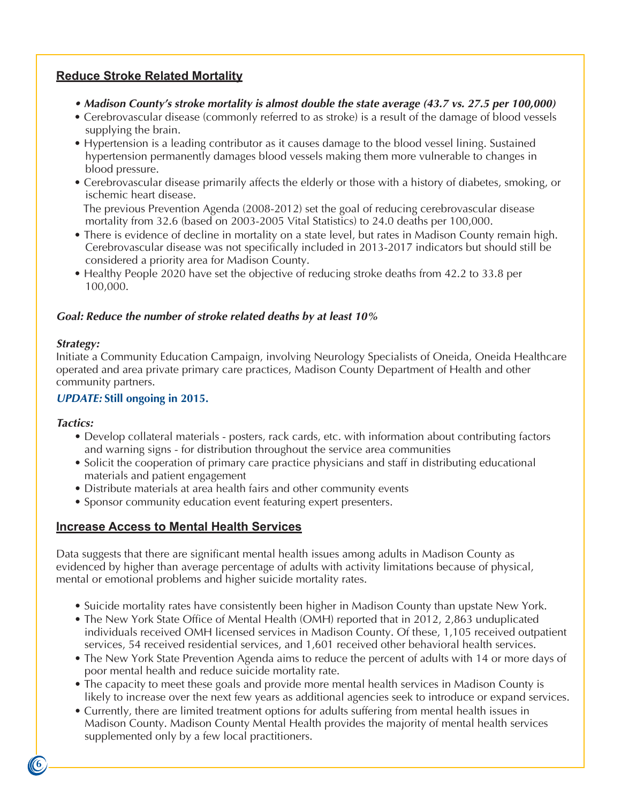#### **Reduce Stroke Related Mortality**

- *Madison County's stroke mortality is almost double the state average (43.7 vs. 27.5 per 100,000)*
- Cerebrovascular disease (commonly referred to as stroke) is a result of the damage of blood vessels supplying the brain.
- Hypertension is a leading contributor as it causes damage to the blood vessel lining. Sustained hypertension permanently damages blood vessels making them more vulnerable to changes in blood pressure.
- Cerebrovascular disease primarily affects the elderly or those with a history of diabetes, smoking, or ischemic heart disease.

The previous Prevention Agenda (2008-2012) set the goal of reducing cerebrovascular disease mortality from 32.6 (based on 2003-2005 Vital Statistics) to 24.0 deaths per 100,000.

- There is evidence of decline in mortality on a state level, but rates in Madison County remain high. Cerebrovascular disease was not specifically included in 2013-2017 indicators but should still be considered a priority area for Madison County.
- Healthy People 2020 have set the objective of reducing stroke deaths from 42.2 to 33.8 per 100,000.

#### *Goal: Reduce the number of stroke related deaths by at least 10%*

#### *Strategy:*

Initiate a Community Education Campaign, involving Neurology Specialists of Oneida, Oneida Healthcare operated and area private primary care practices, Madison County Department of Health and other community partners.

#### *UPDATE:* **Still ongoing in 2015.**

#### *Tactics:*

- Develop collateral materials posters, rack cards, etc. with information about contributing factors and warning signs - for distribution throughout the service area communities
- Solicit the cooperation of primary care practice physicians and staff in distributing educational materials and patient engagement
- Distribute materials at area health fairs and other community events
- Sponsor community education event featuring expert presenters.

#### **Increase Access to Mental Health Services**

Data suggests that there are significant mental health issues among adults in Madison County as evidenced by higher than average percentage of adults with activity limitations because of physical, mental or emotional problems and higher suicide mortality rates.

- Suicide mortality rates have consistently been higher in Madison County than upstate New York.
- The New York State Office of Mental Health (OMH) reported that in 2012, 2,863 unduplicated individuals received OMH licensed services in Madison County. Of these, 1,105 received outpatient services, 54 received residential services, and 1,601 received other behavioral health services.
- The New York State Prevention Agenda aims to reduce the percent of adults with 14 or more days of poor mental health and reduce suicide mortality rate.
- The capacity to meet these goals and provide more mental health services in Madison County is likely to increase over the next few years as additional agencies seek to introduce or expand services.
- Currently, there are limited treatment options for adults suffering from mental health issues in Madison County. Madison County Mental Health provides the majority of mental health services supplemented only by a few local practitioners.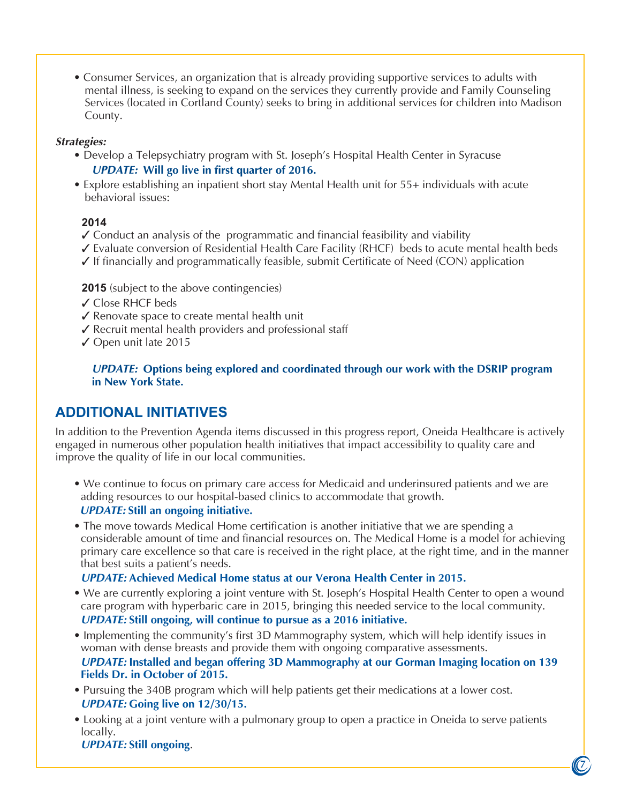• Consumer Services, an organization that is already providing supportive services to adults with mental illness, is seeking to expand on the services they currently provide and Family Counseling Services (located in Cortland County) seeks to bring in additional services for children into Madison County.

#### *Strategies:*

- Develop a Telepsychiatry program with St. Joseph's Hospital Health Center in Syracuse *UPDATE:* **Will go live in first quarter of 2016.**
- Explore establishing an inpatient short stay Mental Health unit for 55+ individuals with acute behavioral issues:

#### **2014**

- ✓ Conduct an analysis of the programmatic and financial feasibility and viability
- ✓ Evaluate conversion of Residential Health Care Facility (RHCF) beds to acute mental health beds
- ✓ If financially and programmatically feasible, submit Certificate of Need (CON) application

#### **2015** (subject to the above contingencies)

- ✓ Close RHCF beds
- ✓ Renovate space to create mental health unit
- ✓ Recruit mental health providers and professional staff
- ✓ Open unit late 2015

*UPDATE:* **Options being explored and coordinated through our work with the DSRIP program in New York State.** 

#### **ADDITIONAL INITIATIVES**

In addition to the Prevention Agenda items discussed in this progress report, Oneida Healthcare is actively engaged in numerous other population health initiatives that impact accessibility to quality care and improve the quality of life in our local communities.

- We continue to focus on primary care access for Medicaid and underinsured patients and we are adding resources to our hospital-based clinics to accommodate that growth. *UPDATE:* **Still an ongoing initiative.**
- The move towards Medical Home certification is another initiative that we are spending a considerable amount of time and financial resources on. The Medical Home is a model for achieving primary care excellence so that care is received in the right place, at the right time, and in the manner that best suits a patient's needs.

#### *UPDATE:* **Achieved Medical Home status at our Verona Health Center in 2015.**

- We are currently exploring a joint venture with St. Joseph's Hospital Health Center to open a wound care program with hyperbaric care in 2015, bringing this needed service to the local community. *UPDATE:* **Still ongoing, will continue to pursue as a 2016 initiative.**
- Implementing the community's first 3D Mammography system, which will help identify issues in woman with dense breasts and provide them with ongoing comparative assessments. *UPDATE:* **Installed and began offering 3D Mammography at our Gorman Imaging location on 139 Fields Dr. in October of 2015.**
- Pursuing the 340B program which will help patients get their medications at a lower cost. *UPDATE:* **Going live on 12/30/15.**
- Looking at a joint venture with a pulmonary group to open a practice in Oneida to serve patients locally.

*UPDATE:* **Still ongoing**.